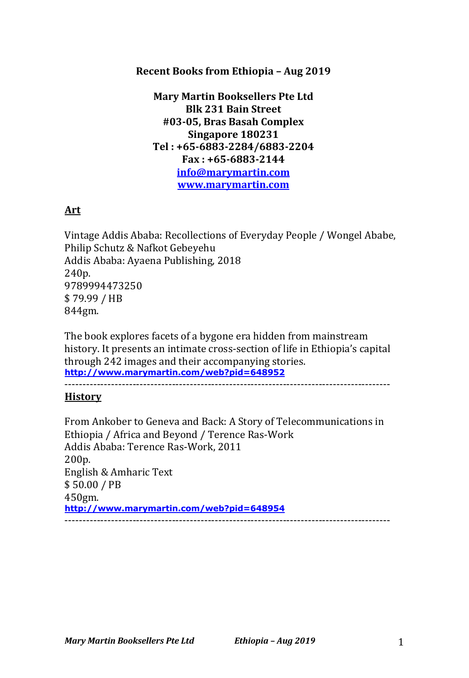## **Recent Books from Ethiopia - Aug 2019**

**Mary Martin Booksellers Pte Ltd Blk 231 Bain Street #03-05, Bras Basah Complex Singapore 180231 Tel : +65-6883-2284/6883-2204 Fax : +65-6883-2144 info@marymartin.com www.marymartin.com**

# **Art**

Vintage Addis Ababa: Recollections of Everyday People / Wongel Ababe, Philip Schutz & Nafkot Gebeyehu Addis Ababa: Ayaena Publishing, 2018 240p. 9789994473250 \$ 79.99 / HB 844gm.

The book explores facets of a bygone era hidden from mainstream history. It presents an intimate cross-section of life in Ethiopia's capital through 242 images and their accompanying stories. **http://www.marymartin.com/web?pid=648952**

-------------------------------------------------------------------------------------------

### **History**

From Ankober to Geneva and Back: A Story of Telecommunications in Ethiopia / Africa and Beyond / Terence Ras-Work Addis Ababa: Terence Ras-Work, 2011 200p. English & Amharic Text \$ 50.00 / PB 450gm. **http://www.marymartin.com/web?pid=648954** -------------------------------------------------------------------------------------------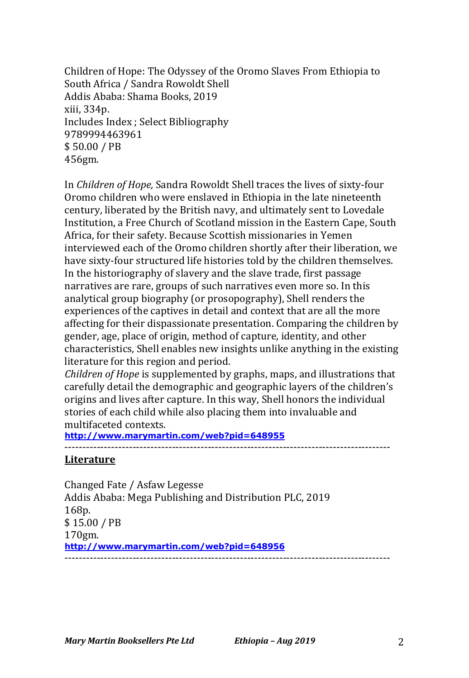Children of Hope: The Odyssey of the Oromo Slaves From Ethiopia to South Africa / Sandra Rowoldt Shell Addis Ababa: Shama Books, 2019 xiii, 334p. Includes Index ; Select Bibliography 9789994463961 \$ 50.00 / PB 456gm.

In *Children of Hope,* Sandra Rowoldt Shell traces the lives of sixty-four Oromo children who were enslaved in Ethiopia in the late nineteenth century, liberated by the British navy, and ultimately sent to Lovedale Institution, a Free Church of Scotland mission in the Eastern Cape, South Africa, for their safety. Because Scottish missionaries in Yemen interviewed each of the Oromo children shortly after their liberation, we have sixty-four structured life histories told by the children themselves. In the historiography of slavery and the slave trade, first passage narratives are rare, groups of such narratives even more so. In this analytical group biography (or prosopography), Shell renders the experiences of the captives in detail and context that are all the more affecting for their dispassionate presentation. Comparing the children by gender, age, place of origin, method of capture, identity, and other characteristics, Shell enables new insights unlike anything in the existing literature for this region and period.

*Children of Hope* is supplemented by graphs, maps, and illustrations that carefully detail the demographic and geographic layers of the children's origins and lives after capture. In this way, Shell honors the individual stories of each child while also placing them into invaluable and multifaceted contexts.

**http://www.marymartin.com/web?pid=648955**

-------------------------------------------------------------------------------------------

#### **Literature**

Changed Fate / Asfaw Legesse Addis Ababa: Mega Publishing and Distribution PLC, 2019 168p. \$ 15.00 / PB 170gm. **http://www.marymartin.com/web?pid=648956** -------------------------------------------------------------------------------------------